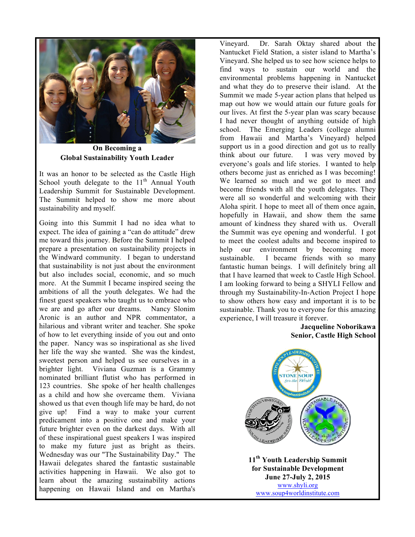

**On Becoming a Global Sustainability Youth Leader**

It was an honor to be selected as the Castle High School youth delegate to the  $11<sup>th</sup>$  Annual Youth Leadership Summit for Sustainable Development. The Summit helped to show me more about sustainability and myself.

Going into this Summit I had no idea what to expect. The idea of gaining a "can do attitude" drew me toward this journey. Before the Summit I helped prepare a presentation on sustainability projects in the Windward community. I began to understand that sustainability is not just about the environment but also includes social, economic, and so much more. At the Summit I became inspired seeing the ambitions of all the youth delegates. We had the finest guest speakers who taught us to embrace who we are and go after our dreams. Nancy Slonim Aronic is an author and NPR commentator, a hilarious and vibrant writer and teacher. She spoke of how to let everything inside of you out and onto the paper. Nancy was so inspirational as she lived her life the way she wanted. She was the kindest, sweetest person and helped us see ourselves in a brighter light. Viviana Guzman is a Grammy nominated brilliant flutist who has performed in 123 countries. She spoke of her health challenges as a child and how she overcame them. Viviana showed us that even though life may be hard, do not give up! Find a way to make your current predicament into a positive one and make your future brighter even on the darkest days. With all of these inspirational guest speakers I was inspired to make my future just as bright as theirs. Wednesday was our "The Sustainability Day." The Hawaii delegates shared the fantastic sustainable activities happening in Hawaii. We also got to learn about the amazing sustainability actions happening on Hawaii Island and on Martha's

Vineyard. Dr. Sarah Oktay shared about the Nantucket Field Station, a sister island to Martha's Vineyard. She helped us to see how science helps to find ways to sustain our world and the environmental problems happening in Nantucket and what they do to preserve their island. At the Summit we made 5-year action plans that helped us map out how we would attain our future goals for our lives. At first the 5-year plan was scary because I had never thought of anything outside of high school. The Emerging Leaders (college alumni from Hawaii and Martha's Vineyard) helped support us in a good direction and got us to really think about our future. I was very moved by everyone's goals and life stories. I wanted to help others become just as enriched as I was becoming! We learned so much and we got to meet and become friends with all the youth delegates. They were all so wonderful and welcoming with their Aloha spirit. I hope to meet all of them once again, hopefully in Hawaii, and show them the same amount of kindness they shared with us. Overall the Summit was eye opening and wonderful. I got to meet the coolest adults and become inspired to help our environment by becoming more sustainable. I became friends with so many fantastic human beings. I will definitely bring all that I have learned that week to Castle High School. I am looking forward to being a SHYLI Fellow and through my Sustainability-In-Action Project I hope to show others how easy and important it is to be sustainable. Thank you to everyone for this amazing experience, I will treasure it forever.

## **Jacqueline Noborikawa Senior, Castle High School**



**11th Youth Leadership Summit for Sustainable Development June 27-July 2, 2015** www.shyli.org www.soup4worldinstitute.com